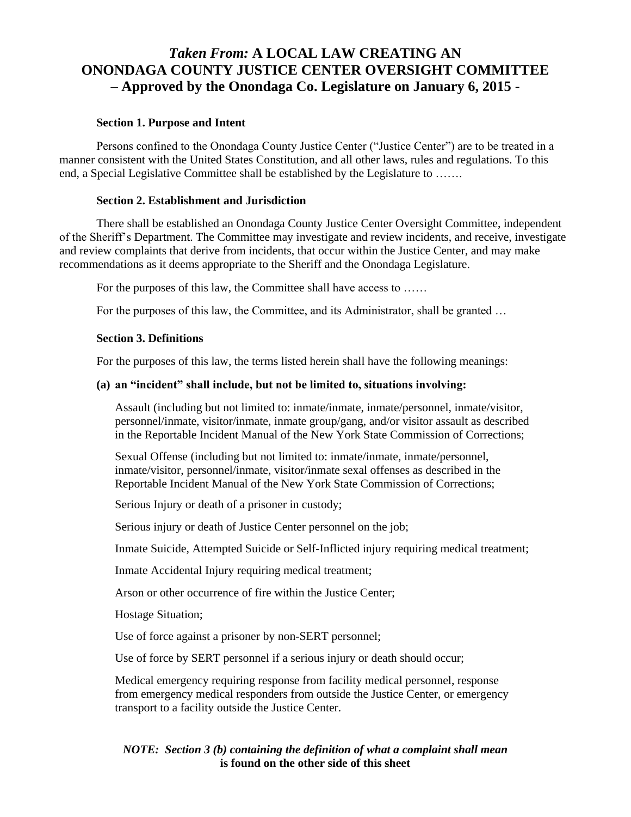# *Taken From:* **A LOCAL LAW CREATING AN ONONDAGA COUNTY JUSTICE CENTER OVERSIGHT COMMITTEE – Approved by the Onondaga Co. Legislature on January 6, 2015 -**

### **Section 1. Purpose and Intent**

Persons confined to the Onondaga County Justice Center ("Justice Center") are to be treated in a manner consistent with the United States Constitution, and all other laws, rules and regulations. To this end, a Special Legislative Committee shall be established by the Legislature to …….

### **Section 2. Establishment and Jurisdiction**

There shall be established an Onondaga County Justice Center Oversight Committee, independent of the Sheriff's Department. The Committee may investigate and review incidents, and receive, investigate and review complaints that derive from incidents, that occur within the Justice Center, and may make recommendations as it deems appropriate to the Sheriff and the Onondaga Legislature.

For the purposes of this law, the Committee shall have access to ......

For the purposes of this law, the Committee, and its Administrator, shall be granted …

### **Section 3. Definitions**

For the purposes of this law, the terms listed herein shall have the following meanings:

### **(a) an "incident" shall include, but not be limited to, situations involving:**

Assault (including but not limited to: inmate/inmate, inmate/personnel, inmate/visitor, personnel/inmate, visitor/inmate, inmate group/gang, and/or visitor assault as described in the Reportable Incident Manual of the New York State Commission of Corrections;

Sexual Offense (including but not limited to: inmate/inmate, inmate/personnel, inmate/visitor, personnel/inmate, visitor/inmate sexal offenses as described in the Reportable Incident Manual of the New York State Commission of Corrections;

Serious Injury or death of a prisoner in custody;

Serious injury or death of Justice Center personnel on the job;

Inmate Suicide, Attempted Suicide or Self-Inflicted injury requiring medical treatment;

Inmate Accidental Injury requiring medical treatment;

Arson or other occurrence of fire within the Justice Center;

Hostage Situation;

Use of force against a prisoner by non-SERT personnel;

Use of force by SERT personnel if a serious injury or death should occur;

Medical emergency requiring response from facility medical personnel, response from emergency medical responders from outside the Justice Center, or emergency transport to a facility outside the Justice Center.

## *NOTE: Section 3 (b) containing the definition of what a complaint shall mean* **is found on the other side of this sheet**